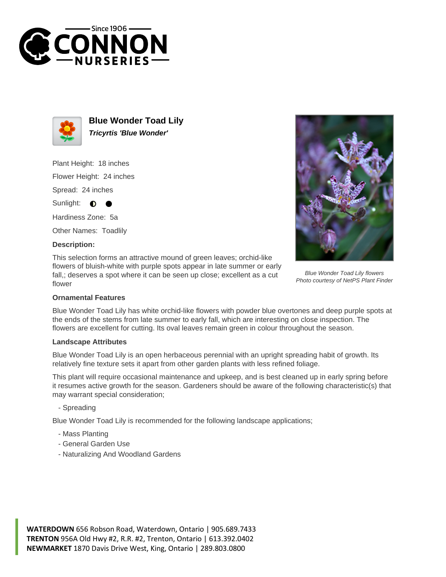



**Blue Wonder Toad Lily Tricyrtis 'Blue Wonder'**

Plant Height: 18 inches Flower Height: 24 inches Spread: 24 inches

Sunlight:  $\bullet$ 

Hardiness Zone: 5a

Other Names: Toadlily

## **Description:**

This selection forms an attractive mound of green leaves; orchid-like flowers of bluish-white with purple spots appear in late summer or early fall,; deserves a spot where it can be seen up close; excellent as a cut flower



Blue Wonder Toad Lily flowers Photo courtesy of NetPS Plant Finder

## **Ornamental Features**

Blue Wonder Toad Lily has white orchid-like flowers with powder blue overtones and deep purple spots at the ends of the stems from late summer to early fall, which are interesting on close inspection. The flowers are excellent for cutting. Its oval leaves remain green in colour throughout the season.

## **Landscape Attributes**

Blue Wonder Toad Lily is an open herbaceous perennial with an upright spreading habit of growth. Its relatively fine texture sets it apart from other garden plants with less refined foliage.

This plant will require occasional maintenance and upkeep, and is best cleaned up in early spring before it resumes active growth for the season. Gardeners should be aware of the following characteristic(s) that may warrant special consideration;

- Spreading

Blue Wonder Toad Lily is recommended for the following landscape applications;

- Mass Planting
- General Garden Use
- Naturalizing And Woodland Gardens

**WATERDOWN** 656 Robson Road, Waterdown, Ontario | 905.689.7433 **TRENTON** 956A Old Hwy #2, R.R. #2, Trenton, Ontario | 613.392.0402 **NEWMARKET** 1870 Davis Drive West, King, Ontario | 289.803.0800